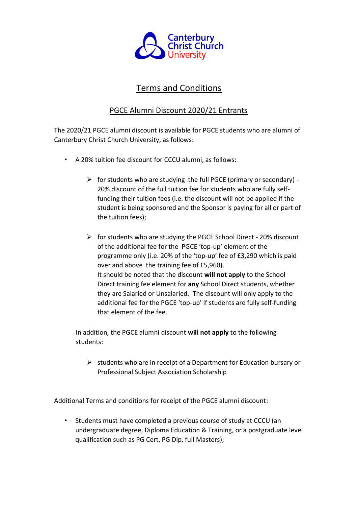

## Terms and Conditions

## PGCE Alumni Discount 2020/21 Entrants

The 2020/21 PGCE alumni discount is available for PGCE students who are alumni of Canterbury Christ Church University, as follows:

- A 20% tuition fee discount for CCCU alumni, as follows:
	- $\triangleright$  for students who are studying the full PGCE (primary or secondary) -20% discount of the full tuition fee for students who are fully selffunding their tuition fees (i.e. the discount will not be applied if the student is being sponsored and the Sponsor is paying for all or part of the tuition fees);
	- ➢ for students who are studying the PGCE School Direct 20% discount of the additional fee for the PGCE 'top-up' element of the programme only (i.e. 20% of the 'top-up' fee of £3,290 which is paid over and above the training fee of £5,960). It should be noted that the discount **will not apply** to the School Direct training fee element for **any** School Direct students, whether they are Salaried or Unsalaried. The discount will only apply to the additional fee for the PGCE 'top-up' if students are fully self-funding that element of the fee.

In addition, the PGCE alumni discount **will not apply** to the following students:

 $\triangleright$  students who are in receipt of a Department for Education bursary or Professional Subject Association Scholarship

Additional Terms and conditions for receipt of the PGCE alumni discount:

• Students must have completed a previous course of study at CCCU (an undergraduate degree, Diploma Education & Training, or a postgraduate level qualification such as PG Cert, PG Dip, full Masters);